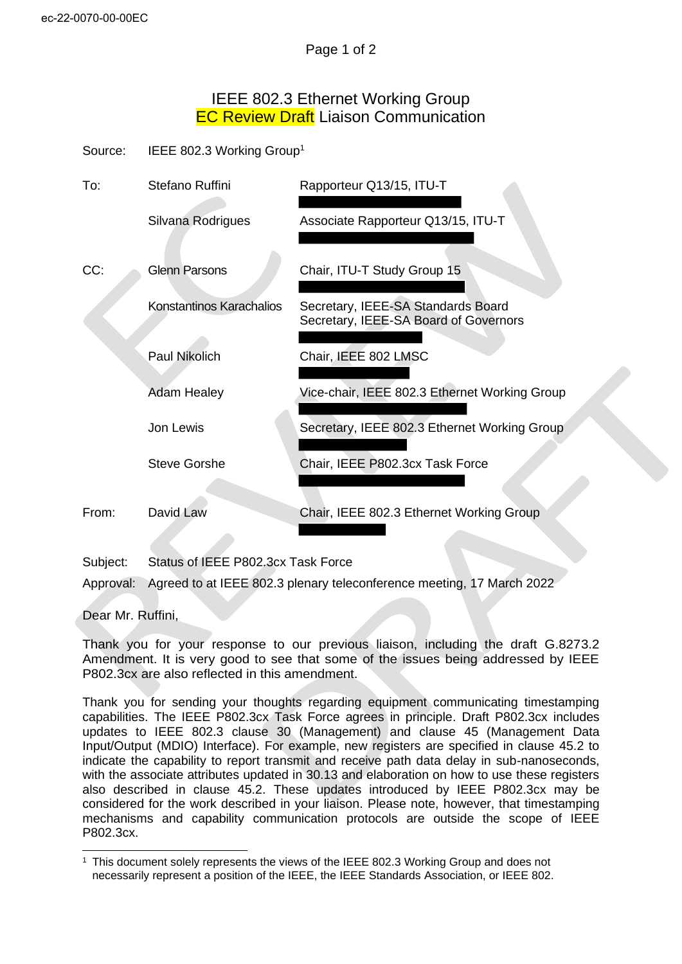## IEEE 802.3 Ethernet Working Group **EC Review Draft Liaison Communication**

Source: IEEE 802.3 Working Group<sup>1</sup>

| To:   | Stefano Ruffini          | Rapporteur Q13/15, ITU-T                                                    |
|-------|--------------------------|-----------------------------------------------------------------------------|
|       | Silvana Rodrigues        | Associate Rapporteur Q13/15, ITU-T                                          |
| CC:   | <b>Glenn Parsons</b>     | Chair, ITU-T Study Group 15                                                 |
|       | Konstantinos Karachalios | Secretary, IEEE-SA Standards Board<br>Secretary, IEEE-SA Board of Governors |
|       | Paul Nikolich            | Chair, IEEE 802 LMSC                                                        |
|       | <b>Adam Healey</b>       | Vice-chair, IEEE 802.3 Ethernet Working Group                               |
|       | Jon Lewis                | Secretary, IEEE 802.3 Ethernet Working Group                                |
|       | <b>Steve Gorshe</b>      | Chair, IEEE P802.3cx Task Force                                             |
| From: | David Law                | Chair, IEEE 802.3 Ethernet Working Group                                    |

Subject: Status of IEEE P802.3cx Task Force

Approval: Agreed to at IEEE 802.3 plenary teleconference meeting, 17 March 2022

Dear Mr. Ruffini,

Thank you for your response to our previous liaison, including the draft G.8273.2 Amendment. It is very good to see that some of the issues being addressed by IEEE P802.3cx are also reflected in this amendment.

Thank you for sending your thoughts regarding equipment communicating timestamping capabilities. The IEEE P802.3cx Task Force agrees in principle. Draft P802.3cx includes updates to IEEE 802.3 clause 30 (Management) and clause 45 (Management Data Input/Output (MDIO) Interface). For example, new registers are specified in clause 45.2 to indicate the capability to report transmit and receive path data delay in sub-nanoseconds, with the associate attributes updated in 30.13 and elaboration on how to use these registers also described in clause 45.2. These updates introduced by IEEE P802.3cx may be considered for the work described in your liaison. Please note, however, that timestamping mechanisms and capability communication protocols are outside the scope of IEEE P802.3cx.

<sup>1</sup> This document solely represents the views of the IEEE 802.3 Working Group and does not necessarily represent a position of the IEEE, the IEEE Standards Association, or IEEE 802.